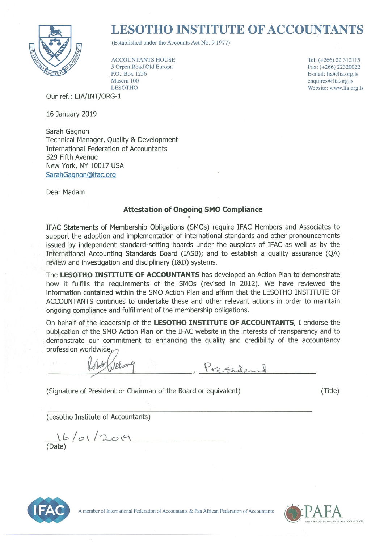

# **LESOTHO INSTITUTE OF ACCOUNTANTS**

(Established under the Accounts Act No. 9 1977)

**ACCOUNTANTS HOUSE** 5 Orpen Road Old Europa P.O., Box 1256 Maseru 100 **LESOTHO** 

Our ref.: LIA/INT/ORG-1

16 January 2019

Sarah Gagnon Technical Manager, Quality & Development **International Federation of Accountants** 529 Fifth Avenue New York, NY 10017 USA SarahGagnon@ifac.org

Dear Madam

# **Attestation of Ongoing SMO Compliance**

IFAC Statements of Membership Obligations (SMOs) require IFAC Members and Associates to support the adoption and implementation of international standards and other pronouncements issued by independent standard-setting boards under the auspices of IFAC as well as by the International Accounting Standards Board (IASB); and to establish a quality assurance (QA) review and investigation and disciplinary (I&D) systems.

The LESOTHO INSTITUTE OF ACCOUNTANTS has developed an Action Plan to demonstrate how it fulfills the requirements of the SMOs (revised in 2012). We have reviewed the information contained within the SMO Action Plan and affirm that the LESOTHO INSTITUTE OF ACCOUNTANTS continues to undertake these and other relevant actions in order to maintain ongoing compliance and fulfillment of the membership obligations.

On behalf of the leadership of the LESOTHO INSTITUTE OF ACCOUNTANTS, I endorse the publication of the SMO Action Plan on the IFAC website in the interests of transparency and to demonstrate our commitment to enhancing the quality and credibility of the accountancy profession worldwide

Alber

Presiden

(Signature of President or Chairman of the Board or equivalent)

(Title)

Tel: (+266) 22 312115

Fax: (+266) 22320022

E-mail: lia@lia.org.ls

Website: www.lia.org.ls

enquires@lia.org.ls

(Lesotho Institute of Accountants)



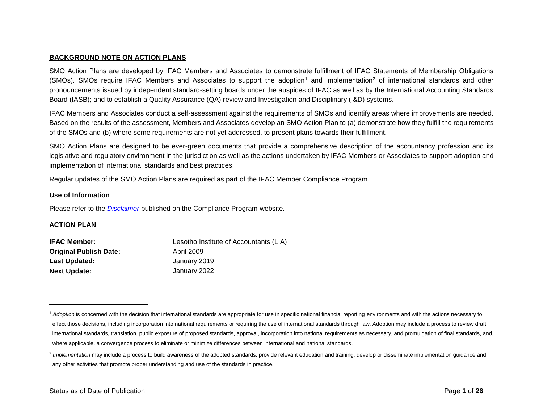## **BACKGROUND NOTE ON ACTION PLANS**

SMO Action Plans are developed by IFAC Members and Associates to demonstrate fulfillment of IFAC Statements of Membership Obligations  $(SMOs)$ . SMOs require IFAC Members and Associates to support the adoption<sup>1</sup> and implementation<sup>2</sup> of international standards and other pronouncements issued by independent standard-setting boards under the auspices of IFAC as well as by the International Accounting Standards Board (IASB); and to establish a Quality Assurance (QA) review and Investigation and Disciplinary (I&D) systems.

IFAC Members and Associates conduct a self-assessment against the requirements of SMOs and identify areas where improvements are needed. Based on the results of the assessment, Members and Associates develop an SMO Action Plan to (a) demonstrate how they fulfill the requirements of the SMOs and (b) where some requirements are not yet addressed, to present plans towards their fulfillment.

SMO Action Plans are designed to be ever-green documents that provide a comprehensive description of the accountancy profession and its legislative and regulatory environment in the jurisdiction as well as the actions undertaken by IFAC Members or Associates to support adoption and implementation of international standards and best practices.

Regular updates of the SMO Action Plans are required as part of the IFAC Member Compliance Program.

#### **Use of Information**

Please refer to the *[Disclaimer](http://www.ifac.org/about-ifac/membership/members/disclaimer)* published on the Compliance Program website.

## **ACTION PLAN**

| <b>IFAC Member:</b>           | Lesotho Institute of Accountants (LIA) |
|-------------------------------|----------------------------------------|
| <b>Original Publish Date:</b> | April 2009                             |
| Last Updated:                 | January 2019                           |
| <b>Next Update:</b>           | January 2022                           |

<sup>&</sup>lt;sup>1</sup> Adoption is concerned with the decision that international standards are appropriate for use in specific national financial reporting environments and with the actions necessary to effect those decisions, including incorporation into national requirements or requiring the use of international standards through law. Adoption may include a process to review draft international standards, translation, public exposure of proposed standards, approval, incorporation into national requirements as necessary, and promulgation of final standards, and, where applicable, a convergence process to eliminate or minimize differences between international and national standards.

<sup>&</sup>lt;sup>2</sup> Implementation may include a process to build awareness of the adopted standards, provide relevant education and training, develop or disseminate implementation guidance and any other activities that promote proper understanding and use of the standards in practice.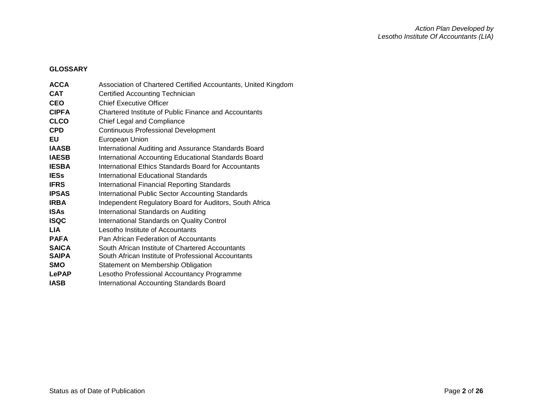# **GLOSSARY**

| <b>ACCA</b>  | Association of Chartered Certified Accountants, United Kingdom |
|--------------|----------------------------------------------------------------|
| <b>CAT</b>   | Certified Accounting Technician                                |
| <b>CEO</b>   | <b>Chief Executive Officer</b>                                 |
| <b>CIPFA</b> | Chartered Institute of Public Finance and Accountants          |
| <b>CLCO</b>  | Chief Legal and Compliance                                     |
| <b>CPD</b>   | <b>Continuous Professional Development</b>                     |
| EU           | European Union                                                 |
| <b>IAASB</b> | International Auditing and Assurance Standards Board           |
| <b>IAESB</b> | International Accounting Educational Standards Board           |
| <b>IESBA</b> | International Ethics Standards Board for Accountants           |
| <b>IESs</b>  | International Educational Standards                            |
| <b>IFRS</b>  | <b>International Financial Reporting Standards</b>             |
| <b>IPSAS</b> | International Public Sector Accounting Standards               |
| <b>IRBA</b>  | Independent Regulatory Board for Auditors, South Africa        |
| <b>ISAs</b>  | International Standards on Auditing                            |
| <b>ISQC</b>  | <b>International Standards on Quality Control</b>              |
| <b>LIA</b>   | Lesotho Institute of Accountants                               |
| <b>PAFA</b>  | Pan African Federation of Accountants                          |
| <b>SAICA</b> | South African Institute of Chartered Accountants               |
| <b>SAIPA</b> | South African Institute of Professional Accountants            |
| <b>SMO</b>   | Statement on Membership Obligation                             |
| <b>LePAP</b> | Lesotho Professional Accountancy Programme                     |
| IASB         | International Accounting Standards Board                       |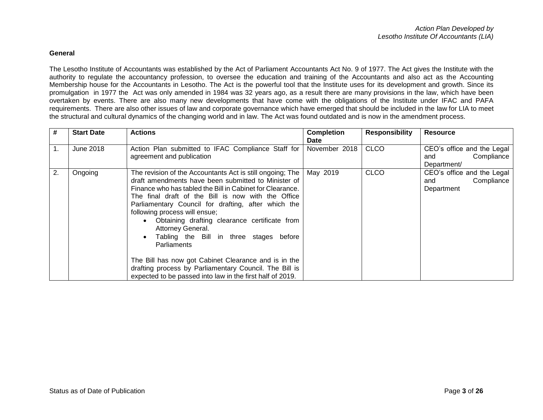#### **General**

The Lesotho Institute of Accountants was established by the Act of Parliament Accountants Act No. 9 of 1977. The Act gives the Institute with the authority to regulate the accountancy profession, to oversee the education and training of the Accountants and also act as the Accounting Membership house for the Accountants in Lesotho. The Act is the powerful tool that the Institute uses for its development and growth. Since its promulgation in 1977 the Act was only amended in 1984 was 32 years ago, as a result there are many provisions in the law, which have been overtaken by events. There are also many new developments that have come with the obligations of the Institute under IFAC and PAFA requirements. There are also other issues of law and corporate governance which have emerged that should be included in the law for LIA to meet the structural and cultural dynamics of the changing world and in law. The Act was found outdated and is now in the amendment process.

| #              | <b>Start Date</b> | <b>Actions</b>                                                                                                                                                                                                                                                                                                                                                                                                                                                                                                                                                                                                                                                       | <b>Completion</b><br><b>Date</b> | <b>Responsibility</b> | <b>Resource</b>                                                |
|----------------|-------------------|----------------------------------------------------------------------------------------------------------------------------------------------------------------------------------------------------------------------------------------------------------------------------------------------------------------------------------------------------------------------------------------------------------------------------------------------------------------------------------------------------------------------------------------------------------------------------------------------------------------------------------------------------------------------|----------------------------------|-----------------------|----------------------------------------------------------------|
| 1 <sub>1</sub> | <b>June 2018</b>  | Action Plan submitted to IFAC Compliance Staff for<br>agreement and publication                                                                                                                                                                                                                                                                                                                                                                                                                                                                                                                                                                                      | November 2018                    | <b>CLCO</b>           | CEO's office and the Legal<br>Compliance<br>and<br>Department/ |
| 2.             | Ongoing           | The revision of the Accountants Act is still ongoing; The<br>draft amendments have been submitted to Minister of<br>Finance who has tabled the Bill in Cabinet for Clearance.<br>The final draft of the Bill is now with the Office<br>Parliamentary Council for drafting, after which the<br>following process will ensue;<br>Obtaining drafting clearance certificate from<br>$\bullet$<br>Attorney General.<br>Tabling the Bill in three stages before<br>$\bullet$<br>Parliaments<br>The Bill has now got Cabinet Clearance and is in the<br>drafting process by Parliamentary Council. The Bill is<br>expected to be passed into law in the first half of 2019. | May 2019                         | <b>CLCO</b>           | CEO's office and the Legal<br>Compliance<br>and<br>Department  |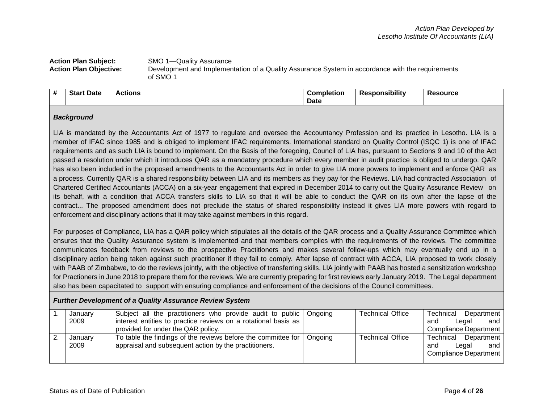## **Action Plan Subject:** SMO 1—Quality Assurance **Action Plan Objective:** Development and Implementation of a Quality Assurance System in accordance with the requirements of SMO 1

| # | Date<br><b>Star</b> | Actions | <b>Completion</b> | .<br>esponsibilit <sup>,</sup> | Res<br>`SOUrCC |
|---|---------------------|---------|-------------------|--------------------------------|----------------|
|   |                     |         | <b>Date</b>       |                                |                |

## *Background*

LIA is mandated by the Accountants Act of 1977 to regulate and oversee the Accountancy Profession and its practice in Lesotho. LIA is a member of IFAC since 1985 and is obliged to implement IFAC requirements. International standard on Quality Control (ISQC 1) is one of IFAC requirements and as such LIA is bound to implement. On the Basis of the foregoing, Council of LIA has, pursuant to Sections 9 and 10 of the Act passed a resolution under which it introduces QAR as a mandatory procedure which every member in audit practice is obliged to undergo. QAR has also been included in the proposed amendments to the Accountants Act in order to give LIA more powers to implement and enforce QAR as a process. Currently QAR is a shared responsibility between LIA and its members as they pay for the Reviews. LIA had contracted Association of Chartered Certified Accountants (ACCA) on a six-year engagement that expired in December 2014 to carry out the Quality Assurance Review on its behalf, with a condition that ACCA transfers skills to LIA so that it will be able to conduct the QAR on its own after the lapse of the contract... The proposed amendment does not preclude the status of shared responsibility instead it gives LIA more powers with regard to enforcement and disciplinary actions that it may take against members in this regard.

For purposes of Compliance, LIA has a QAR policy which stipulates all the details of the QAR process and a Quality Assurance Committee which ensures that the Quality Assurance system is implemented and that members complies with the requirements of the reviews. The committee communicates feedback from reviews to the prospective Practitioners and makes several follow-ups which may eventually end up in a disciplinary action being taken against such practitioner if they fail to comply. After lapse of contract with ACCA, LIA proposed to work closely with PAAB of Zimbabwe, to do the reviews jointly, with the objective of transferring skills. LIA jointly with PAAB has hosted a sensitization workshop for Practioners in June 2018 to prepare them for the reviews. We are currently preparing for first reviews early January 2019. The Legal department also has been capacitated to support with ensuring compliance and enforcement of the decisions of the Council committees.

## *Further Development of a Quality Assurance Review System*

| January<br>2009 | Subject all the practitioners who provide audit to public   Ongoing<br>interest entities to practice reviews on a rotational basis as<br>provided for under the QAR policy. |         | <b>Technical Office</b> | Technical<br>Department  <br>and I<br>Legal<br>and<br>Compliance Department |
|-----------------|-----------------------------------------------------------------------------------------------------------------------------------------------------------------------------|---------|-------------------------|-----------------------------------------------------------------------------|
| Januarv<br>2009 | To table the findings of the reviews before the committee for<br>appraisal and subsequent action by the practitioners.                                                      | Ongoing | <b>Technical Office</b> | Technical Department<br>and<br>Legal<br>and<br>Compliance Department        |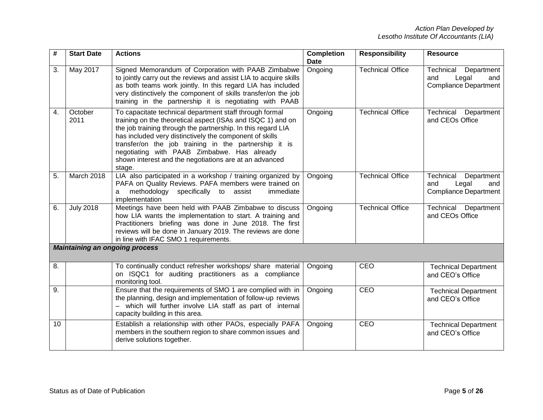| #  | <b>Start Date</b> | <b>Actions</b>                                                                                                                                                                                                                                                                                                                                                                                                                | <b>Completion</b><br>Date | <b>Responsibility</b>   | <b>Resource</b>                                                                |
|----|-------------------|-------------------------------------------------------------------------------------------------------------------------------------------------------------------------------------------------------------------------------------------------------------------------------------------------------------------------------------------------------------------------------------------------------------------------------|---------------------------|-------------------------|--------------------------------------------------------------------------------|
| 3. | May 2017          | Signed Memorandum of Corporation with PAAB Zimbabwe<br>to jointly carry out the reviews and assist LIA to acquire skills<br>as both teams work jointly. In this regard LIA has included<br>very distinctively the component of skills transfer/on the job<br>training in the partnership it is negotiating with PAAB                                                                                                          | Ongoing                   | <b>Technical Office</b> | Technical<br>Department<br>and<br>Legal<br>and<br><b>Compliance Department</b> |
| 4. | October<br>2011   | To capacitate technical department staff through formal<br>training on the theoretical aspect (ISAs and ISQC 1) and on<br>the job training through the partnership. In this regard LIA<br>has included very distinctively the component of skills<br>transfer/on the job training in the partnership it is<br>negotiating with PAAB Zimbabwe. Has already<br>shown interest and the negotiations are at an advanced<br>stage. | Ongoing                   | <b>Technical Office</b> | Technical<br>Department<br>and CEOs Office                                     |
| 5. | March 2018        | LIA also participated in a workshop / training organized by<br>PAFA on Quality Reviews. PAFA members were trained on<br>methodology specifically to assist<br>immediate<br>a<br>implementation                                                                                                                                                                                                                                | Ongoing                   | <b>Technical Office</b> | Technical<br>Department<br>and<br>Legal<br>and<br><b>Compliance Department</b> |
| 6. | <b>July 2018</b>  | Meetings have been held with PAAB Zimbabwe to discuss<br>how LIA wants the implementation to start. A training and<br>Practitioners briefing was done in June 2018. The first<br>reviews will be done in January 2019. The reviews are done<br>in line with IFAC SMO 1 requirements.                                                                                                                                          | Ongoing                   | <b>Technical Office</b> | Technical<br>Department<br>and CEOs Office                                     |
|    |                   | <b>Maintaining an ongoing process</b>                                                                                                                                                                                                                                                                                                                                                                                         |                           |                         |                                                                                |
| 8. |                   | To continually conduct refresher workshops/ share material<br>on ISQC1 for auditing practitioners as a compliance<br>monitoring tool.                                                                                                                                                                                                                                                                                         | Ongoing                   | CEO                     | <b>Technical Department</b><br>and CEO's Office                                |
| 9. |                   | Ensure that the requirements of SMO 1 are complied with in<br>the planning, design and implementation of follow-up reviews<br>- which will further involve LIA staff as part of internal<br>capacity building in this area.                                                                                                                                                                                                   | Ongoing                   | CEO                     | <b>Technical Department</b><br>and CEO's Office                                |
| 10 |                   | Establish a relationship with other PAOs, especially PAFA<br>members in the southern region to share common issues and<br>derive solutions together.                                                                                                                                                                                                                                                                          | Ongoing                   | CEO                     | <b>Technical Department</b><br>and CEO's Office                                |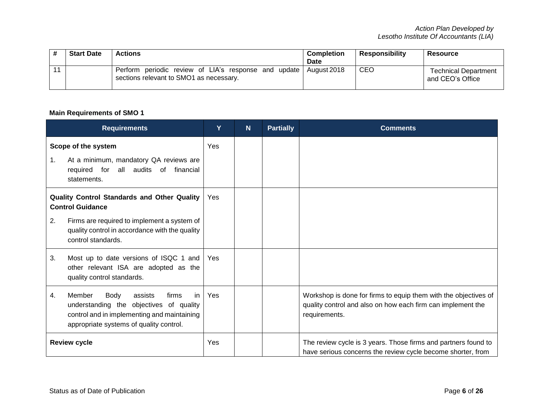| <b>Start Date</b> | <b>Actions</b>                                                                                              | <b>Completion</b><br>Date | <b>Responsibility</b> | <b>Resource</b>                                 |
|-------------------|-------------------------------------------------------------------------------------------------------------|---------------------------|-----------------------|-------------------------------------------------|
|                   | Perform periodic review of LIA's response and update August 2018<br>sections relevant to SMO1 as necessary. |                           | CEO                   | <b>Technical Department</b><br>and CEO's Office |

# **Main Requirements of SMO 1**

|    | <b>Requirements</b>                                                                                                                                                            | Y          | N | <b>Partially</b> | <b>Comments</b>                                                                                                                                 |
|----|--------------------------------------------------------------------------------------------------------------------------------------------------------------------------------|------------|---|------------------|-------------------------------------------------------------------------------------------------------------------------------------------------|
| 1. | Scope of the system<br>At a minimum, mandatory QA reviews are<br>required for all audits of<br>financial<br>statements.                                                        | Yes        |   |                  |                                                                                                                                                 |
|    | Quality Control Standards and Other Quality<br><b>Control Guidance</b>                                                                                                         | <b>Yes</b> |   |                  |                                                                                                                                                 |
| 2. | Firms are required to implement a system of<br>quality control in accordance with the quality<br>control standards.                                                            |            |   |                  |                                                                                                                                                 |
| 3. | Most up to date versions of ISQC 1 and<br>other relevant ISA are adopted as the<br>quality control standards.                                                                  | Yes        |   |                  |                                                                                                                                                 |
| 4. | Member<br>Body<br>firms<br>assists<br>in.<br>understanding the objectives of quality<br>control and in implementing and maintaining<br>appropriate systems of quality control. | Yes        |   |                  | Workshop is done for firms to equip them with the objectives of<br>quality control and also on how each firm can implement the<br>requirements. |
|    | <b>Review cycle</b>                                                                                                                                                            | Yes        |   |                  | The review cycle is 3 years. Those firms and partners found to<br>have serious concerns the review cycle become shorter, from                   |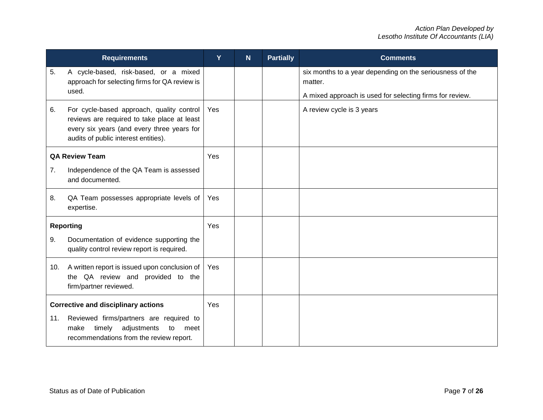|     | <b>Requirements</b>                                                                                                                                                            | Y   | N <sub>1</sub> | <b>Partially</b> | <b>Comments</b>                                                     |
|-----|--------------------------------------------------------------------------------------------------------------------------------------------------------------------------------|-----|----------------|------------------|---------------------------------------------------------------------|
| 5.  | A cycle-based, risk-based, or a mixed<br>approach for selecting firms for QA review is                                                                                         |     |                |                  | six months to a year depending on the seriousness of the<br>matter. |
|     | used.                                                                                                                                                                          |     |                |                  | A mixed approach is used for selecting firms for review.            |
| 6.  | For cycle-based approach, quality control<br>reviews are required to take place at least<br>every six years (and every three years for<br>audits of public interest entities). | Yes |                |                  | A review cycle is 3 years                                           |
|     | <b>QA Review Team</b>                                                                                                                                                          | Yes |                |                  |                                                                     |
| 7.  | Independence of the QA Team is assessed<br>and documented.                                                                                                                     |     |                |                  |                                                                     |
| 8.  | QA Team possesses appropriate levels of<br>expertise.                                                                                                                          | Yes |                |                  |                                                                     |
|     | <b>Reporting</b>                                                                                                                                                               | Yes |                |                  |                                                                     |
| 9.  | Documentation of evidence supporting the<br>quality control review report is required.                                                                                         |     |                |                  |                                                                     |
| 10. | A written report is issued upon conclusion of<br>the QA review and provided to the<br>firm/partner reviewed.                                                                   | Yes |                |                  |                                                                     |
|     | <b>Corrective and disciplinary actions</b>                                                                                                                                     | Yes |                |                  |                                                                     |
| 11. | Reviewed firms/partners are required to<br>timely<br>adjustments<br>make<br>to<br>meet<br>recommendations from the review report.                                              |     |                |                  |                                                                     |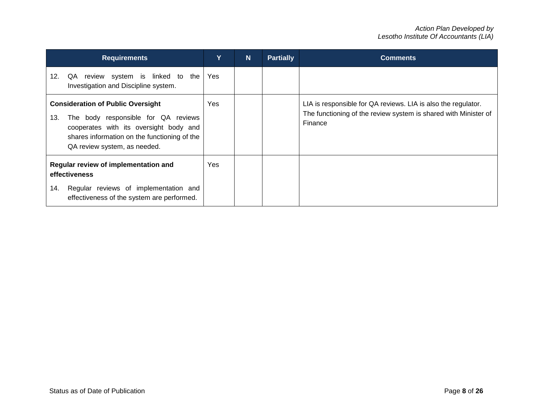| <b>Requirements</b>                                                                                                                                                                                              | Y          | N | <b>Partially</b> | <b>Comments</b>                                                                                                                             |
|------------------------------------------------------------------------------------------------------------------------------------------------------------------------------------------------------------------|------------|---|------------------|---------------------------------------------------------------------------------------------------------------------------------------------|
| review system is linked to the<br>12.<br>QA<br>Investigation and Discipline system.                                                                                                                              | Yes        |   |                  |                                                                                                                                             |
| <b>Consideration of Public Oversight</b><br>The body responsible for QA reviews<br>13.<br>cooperates with its oversight body and<br>shares information on the functioning of the<br>QA review system, as needed. | Yes        |   |                  | LIA is responsible for QA reviews. LIA is also the regulator.<br>The functioning of the review system is shared with Minister of<br>Finance |
| Regular review of implementation and<br>effectiveness<br>Regular reviews of implementation and<br>14.<br>effectiveness of the system are performed.                                                              | <b>Yes</b> |   |                  |                                                                                                                                             |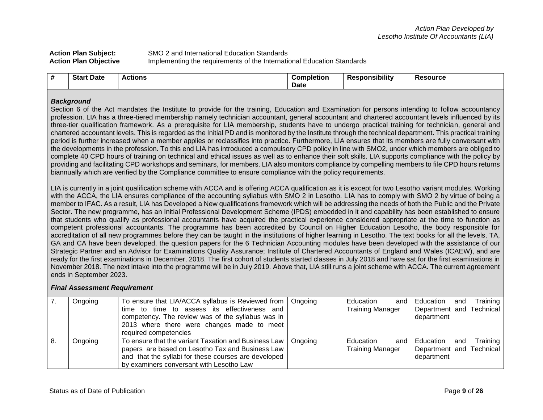| <b>Action Plan Subject:</b>  | SMO 2 and International Education Standards                            |
|------------------------------|------------------------------------------------------------------------|
| <b>Action Plan Objective</b> | Implementing the requirements of the International Education Standards |

| Star<br>Date<br><b>Completion:</b><br>esource<br>`sponsibility<br>tions<br>. .<br><br>Date |
|--------------------------------------------------------------------------------------------|
|--------------------------------------------------------------------------------------------|

## *Background*

Section 6 of the Act mandates the Institute to provide for the training, Education and Examination for persons intending to follow accountancy profession. LIA has a three-tiered membership namely technician accountant, general accountant and chartered accountant levels influenced by its three-tier qualification framework. As a prerequisite for LIA membership, students have to undergo practical training for technician, general and chartered accountant levels. This is regarded as the Initial PD and is monitored by the Institute through the technical department. This practical training period is further increased when a member applies or reclassifies into practice. Furthermore, LIA ensures that its members are fully conversant with the developments in the profession. To this end LIA has introduced a compulsory CPD policy in line with SMO2, under which members are obliged to complete 40 CPD hours of training on technical and ethical issues as well as to enhance their soft skills. LIA supports compliance with the policy by providing and facilitating CPD workshops and seminars, for members. LIA also monitors compliance by compelling members to file CPD hours returns biannually which are verified by the Compliance committee to ensure compliance with the policy requirements.

LIA is currently in a joint qualification scheme with ACCA and is offering ACCA qualification as it is except for two Lesotho variant modules. Working with the ACCA, the LIA ensures compliance of the accounting syllabus with SMO 2 in Lesotho. LIA has to comply with SMO 2 by virtue of being a member to IFAC. As a result, LIA has Developed a New qualifications framework which will be addressing the needs of both the Public and the Private Sector. The new programme, has an Initial Professional Development Scheme (IPDS) embedded in it and capability has been established to ensure that students who qualify as professional accountants have acquired the practical experience considered appropriate at the time to function as competent professional accountants. The programme has been accredited by Council on Higher Education Lesotho, the body responsible for accreditation of all new programmes before they can be taught in the institutions of higher learning in Lesotho. The text books for all the levels, TA, GA and CA have been developed, the question papers for the 6 Technician Accounting modules have been developed with the assistance of our Strategic Partner and an Advisor for Examinations Quality Assurance; Institute of Chartered Accountants of England and Wales (ICAEW), and are ready for the first examinations in December, 2018. The first cohort of students started classes in July 2018 and have sat for the first examinations in November 2018. The next intake into the programme will be in July 2019. Above that, LIA still runs a joint scheme with ACCA. The current agreement ends in September 2023.

#### *Final Assessment Requirement*

| Ongoing | To ensure that LIA/ACCA syllabus is Reviewed from   Ongoing    | Education<br>and        | Education and            | Training |
|---------|----------------------------------------------------------------|-------------------------|--------------------------|----------|
|         | time to time to assess its effectiveness and                   | <b>Training Manager</b> | Department and Technical |          |
|         | competency. The review was of the syllabus was in              |                         | department               |          |
|         | 2013 where there were changes made to meet                     |                         |                          |          |
|         | required competencies                                          |                         |                          |          |
| Ongoing | To ensure that the variant Taxation and Business Law   Ongoing | Education<br>and I      | Education and            | Training |
|         | papers are based on Lesotho Tax and Business Law               | <b>Training Manager</b> | Department and Technical |          |
|         | and that the syllabi for these courses are developed           |                         | department               |          |
|         | by examiners conversant with Lesotho Law                       |                         |                          |          |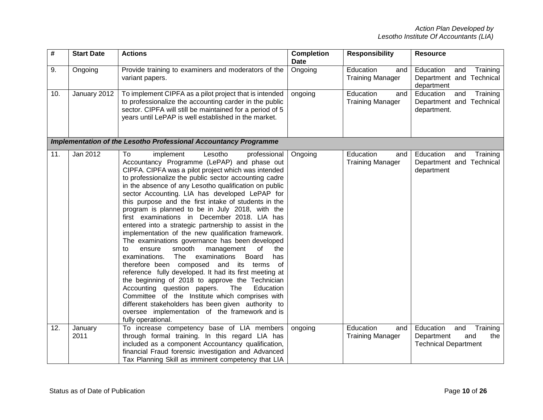| #   | <b>Start Date</b> | <b>Actions</b>                                                                                                                                                                                                                                                                                                                                                                                                                                                                                                                                                                                                                                                                                                                                                                                                                                                                                                                                                                                                                                                                                                                                                    | <b>Completion</b><br>Date | <b>Responsibility</b>                       | <b>Resource</b>                                                                         |
|-----|-------------------|-------------------------------------------------------------------------------------------------------------------------------------------------------------------------------------------------------------------------------------------------------------------------------------------------------------------------------------------------------------------------------------------------------------------------------------------------------------------------------------------------------------------------------------------------------------------------------------------------------------------------------------------------------------------------------------------------------------------------------------------------------------------------------------------------------------------------------------------------------------------------------------------------------------------------------------------------------------------------------------------------------------------------------------------------------------------------------------------------------------------------------------------------------------------|---------------------------|---------------------------------------------|-----------------------------------------------------------------------------------------|
| 9.  | Ongoing           | Provide training to examiners and moderators of the<br>variant papers.                                                                                                                                                                                                                                                                                                                                                                                                                                                                                                                                                                                                                                                                                                                                                                                                                                                                                                                                                                                                                                                                                            | Ongoing                   | Education<br>and<br><b>Training Manager</b> | Education<br>Training<br>and<br>Department and Technical<br>department                  |
| 10. | January 2012      | To implement CIPFA as a pilot project that is intended<br>to professionalize the accounting carder in the public<br>sector. CIPFA will still be maintained for a period of 5<br>years until LePAP is well established in the market.                                                                                                                                                                                                                                                                                                                                                                                                                                                                                                                                                                                                                                                                                                                                                                                                                                                                                                                              | ongoing                   | Education<br>and<br><b>Training Manager</b> | Education<br>and<br>Training<br>Department and Technical<br>department.                 |
|     |                   | Implementation of the Lesotho Professional Accountancy Programme                                                                                                                                                                                                                                                                                                                                                                                                                                                                                                                                                                                                                                                                                                                                                                                                                                                                                                                                                                                                                                                                                                  |                           |                                             |                                                                                         |
| 11. | Jan 2012          | To<br>implement<br>Lesotho<br>professional<br>Accountancy Programme (LePAP) and phase out<br>CIPFA. CIPFA was a pilot project which was intended<br>to professionalize the public sector accounting cadre<br>in the absence of any Lesotho qualification on public<br>sector Accounting. LIA has developed LePAP for<br>this purpose and the first intake of students in the<br>program is planned to be in July 2018, with the<br>first examinations in December 2018. LIA has<br>entered into a strategic partnership to assist in the<br>implementation of the new qualification framework.<br>The examinations governance has been developed<br>smooth<br>management<br>of<br>to<br>ensure<br>the<br>The<br>examinations.<br>examinations<br><b>Board</b><br>has<br>therefore been composed and its terms of<br>reference fully developed. It had its first meeting at<br>the beginning of 2018 to approve the Technician<br>Accounting question papers.<br>The<br>Education<br>Committee of the Institute which comprises with<br>different stakeholders has been given authority to<br>oversee implementation of the framework and is<br>fully operational. | Ongoing                   | Education<br>and<br><b>Training Manager</b> | Education<br>Training<br>and<br>Department and Technical<br>department                  |
| 12. | January<br>2011   | To increase competency base of LIA members<br>through formal training. In this regard LIA has<br>included as a component Accountancy qualification,<br>financial Fraud forensic investigation and Advanced<br>Tax Planning Skill as imminent competency that LIA                                                                                                                                                                                                                                                                                                                                                                                                                                                                                                                                                                                                                                                                                                                                                                                                                                                                                                  | ongoing                   | Education<br>and<br><b>Training Manager</b> | Education<br>and<br>Training<br>Department<br>the<br>and<br><b>Technical Department</b> |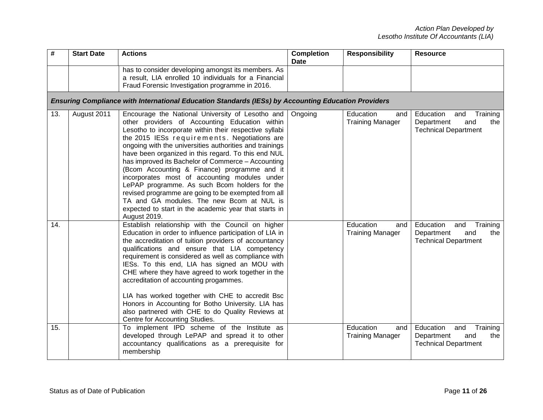| #   | <b>Start Date</b> | <b>Actions</b>                                                                                                                                                                                                                                                                                                                                                                                                                                                                                                                                                                                                                                                                                                      | <b>Completion</b><br>Date | <b>Responsibility</b>                       | <b>Resource</b>                                                                         |
|-----|-------------------|---------------------------------------------------------------------------------------------------------------------------------------------------------------------------------------------------------------------------------------------------------------------------------------------------------------------------------------------------------------------------------------------------------------------------------------------------------------------------------------------------------------------------------------------------------------------------------------------------------------------------------------------------------------------------------------------------------------------|---------------------------|---------------------------------------------|-----------------------------------------------------------------------------------------|
|     |                   | has to consider developing amongst its members. As<br>a result, LIA enrolled 10 individuals for a Financial<br>Fraud Forensic Investigation programme in 2016.                                                                                                                                                                                                                                                                                                                                                                                                                                                                                                                                                      |                           |                                             |                                                                                         |
|     |                   | Ensuring Compliance with International Education Standards (IESs) by Accounting Education Providers                                                                                                                                                                                                                                                                                                                                                                                                                                                                                                                                                                                                                 |                           |                                             |                                                                                         |
| 13. | August 2011       | Encourage the National University of Lesotho and<br>other providers of Accounting Education within<br>Lesotho to incorporate within their respective syllabi<br>the 2015 IESs requirements. Negotiations are<br>ongoing with the universities authorities and trainings<br>have been organized in this regard. To this end NUL<br>has improved its Bachelor of Commerce - Accounting<br>(Bcom Accounting & Finance) programme and it<br>incorporates most of accounting modules under<br>LePAP programme. As such Bcom holders for the<br>revised programme are going to be exempted from all<br>TA and GA modules. The new Bcom at NUL is<br>expected to start in the academic year that starts in<br>August 2019. | Ongoing                   | Education<br>and<br><b>Training Manager</b> | Education<br>Training<br>and<br>Department<br>and<br>the<br><b>Technical Department</b> |
| 14. |                   | Establish relationship with the Council on higher<br>Education in order to influence participation of LIA in<br>the accreditation of tuition providers of accountancy<br>qualifications and ensure that LIA competency<br>requirement is considered as well as compliance with<br>IESs. To this end, LIA has signed an MOU with<br>CHE where they have agreed to work together in the<br>accreditation of accounting progammes.<br>LIA has worked together with CHE to accredit Bsc<br>Honors in Accounting for Botho University. LIA has<br>also partnered with CHE to do Quality Reviews at<br>Centre for Accounting Studies.                                                                                     |                           | Education<br>and<br><b>Training Manager</b> | Education<br>Training<br>and<br>Department<br>and<br>the<br><b>Technical Department</b> |
| 15. |                   | To implement IPD scheme of the Institute as<br>developed through LePAP and spread it to other<br>accountancy qualifications as a prerequisite for<br>membership                                                                                                                                                                                                                                                                                                                                                                                                                                                                                                                                                     |                           | Education<br>and<br><b>Training Manager</b> | Education<br>Training<br>and<br>Department<br>and<br>the<br><b>Technical Department</b> |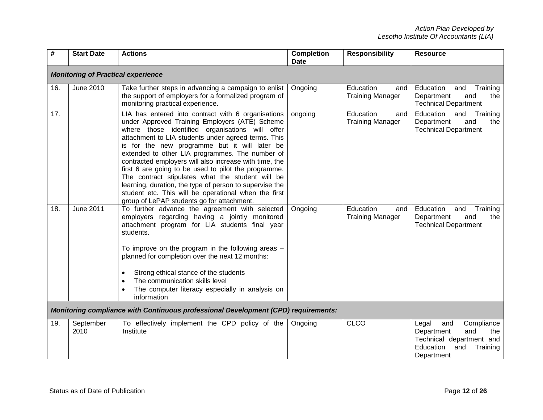| #   | <b>Start Date</b>                         | <b>Actions</b>                                                                                                                                                                                                                                                                                                                                                                                                                                                                                                                                                                                                                                            | <b>Completion</b><br><b>Date</b> | <b>Responsibility</b>                       | <b>Resource</b>                                                                                                                  |  |  |  |
|-----|-------------------------------------------|-----------------------------------------------------------------------------------------------------------------------------------------------------------------------------------------------------------------------------------------------------------------------------------------------------------------------------------------------------------------------------------------------------------------------------------------------------------------------------------------------------------------------------------------------------------------------------------------------------------------------------------------------------------|----------------------------------|---------------------------------------------|----------------------------------------------------------------------------------------------------------------------------------|--|--|--|
|     | <b>Monitoring of Practical experience</b> |                                                                                                                                                                                                                                                                                                                                                                                                                                                                                                                                                                                                                                                           |                                  |                                             |                                                                                                                                  |  |  |  |
| 16. | June 2010                                 | Take further steps in advancing a campaign to enlist<br>the support of employers for a formalized program of<br>monitoring practical experience.                                                                                                                                                                                                                                                                                                                                                                                                                                                                                                          | Ongoing                          | Education<br>and<br><b>Training Manager</b> | Education<br>and<br>Training<br>Department<br>and<br>the<br><b>Technical Department</b>                                          |  |  |  |
| 17. |                                           | LIA has entered into contract with 6 organisations<br>under Approved Training Employers (ATE) Scheme<br>where those identified organisations will offer<br>attachment to LIA students under agreed terms. This<br>is for the new programme but it will later be<br>extended to other LIA programmes. The number of<br>contracted employers will also increase with time, the<br>first 6 are going to be used to pilot the programme.<br>The contract stipulates what the student will be<br>learning, duration, the type of person to supervise the<br>student etc. This will be operational when the first<br>group of LePAP students go for attachment. | ongoing                          | Education<br>and<br><b>Training Manager</b> | Education<br>and<br>Training<br>Department<br>and<br>the<br><b>Technical Department</b>                                          |  |  |  |
| 18. | <b>June 2011</b>                          | To further advance the agreement with selected<br>employers regarding having a jointly monitored<br>attachment program for LIA students final year<br>students.<br>To improve on the program in the following areas -<br>planned for completion over the next 12 months:<br>Strong ethical stance of the students<br>$\bullet$<br>The communication skills level<br>$\bullet$<br>The computer literacy especially in analysis on<br>$\bullet$<br>information                                                                                                                                                                                              | Ongoing                          | Education<br>and<br><b>Training Manager</b> | Education<br>Training<br>and<br>Department<br>and<br>the<br><b>Technical Department</b>                                          |  |  |  |
|     |                                           | <b>Monitoring compliance with Continuous professional Development (CPD) requirements:</b>                                                                                                                                                                                                                                                                                                                                                                                                                                                                                                                                                                 |                                  |                                             |                                                                                                                                  |  |  |  |
| 19. | September<br>2010                         | To effectively implement the CPD policy of the<br>Institute                                                                                                                                                                                                                                                                                                                                                                                                                                                                                                                                                                                               | Ongoing                          | <b>CLCO</b>                                 | Legal<br>Compliance<br>and<br>and<br>the<br>Department<br>Technical department and<br>Education<br>and<br>Training<br>Department |  |  |  |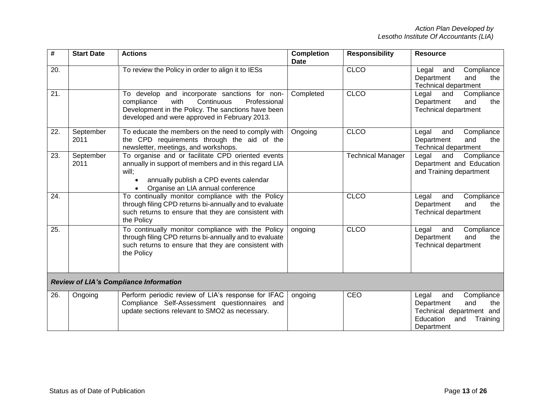| #   | <b>Start Date</b> | <b>Actions</b>                                                                                                                                                                                           | <b>Completion</b><br>Date | <b>Responsibility</b>    | <b>Resource</b>                                                                                                                  |
|-----|-------------------|----------------------------------------------------------------------------------------------------------------------------------------------------------------------------------------------------------|---------------------------|--------------------------|----------------------------------------------------------------------------------------------------------------------------------|
| 20. |                   | To review the Policy in order to align it to IESs                                                                                                                                                        |                           | <b>CLCO</b>              | Compliance<br>Legal<br>and<br>Department<br>and<br>the<br><b>Technical department</b>                                            |
| 21. |                   | To develop and incorporate sanctions for non-<br>Continuous<br>Professional<br>compliance<br>with<br>Development in the Policy. The sanctions have been<br>developed and were approved in February 2013. | Completed                 | <b>CLCO</b>              | Legal<br>and<br>Compliance<br>Department<br>and<br>the<br><b>Technical department</b>                                            |
| 22. | September<br>2011 | To educate the members on the need to comply with<br>the CPD requirements through the aid of the<br>newsletter, meetings, and workshops.                                                                 | Ongoing                   | <b>CLCO</b>              | Compliance<br>Legal<br>and<br>Department<br>and<br>the<br><b>Technical department</b>                                            |
| 23. | September<br>2011 | To organise and or facilitate CPD oriented events<br>annually in support of members and in this regard LIA<br>will:<br>annually publish a CPD events calendar<br>Organise an LIA annual conference       |                           | <b>Technical Manager</b> | Legal<br>Compliance<br>and<br>Department and Education<br>and Training department                                                |
| 24. |                   | To continually monitor compliance with the Policy<br>through filing CPD returns bi-annually and to evaluate<br>such returns to ensure that they are consistent with<br>the Policy                        |                           | <b>CLCO</b>              | Legal<br>Compliance<br>and<br>Department<br>and<br>the<br><b>Technical department</b>                                            |
| 25. |                   | To continually monitor compliance with the Policy<br>through filing CPD returns bi-annually and to evaluate<br>such returns to ensure that they are consistent with<br>the Policy                        | ongoing                   | <b>CLCO</b>              | Legal<br>Compliance<br>and<br>and<br>Department<br>the<br><b>Technical department</b>                                            |
|     |                   | <b>Review of LIA's Compliance Information</b>                                                                                                                                                            |                           |                          |                                                                                                                                  |
| 26. | Ongoing           | Perform periodic review of LIA's response for IFAC<br>Compliance Self-Assessment questionnaires and<br>update sections relevant to SMO2 as necessary.                                                    | ongoing                   | CEO                      | Compliance<br>Legal<br>and<br>Department<br>and<br>the<br>Technical department and<br>Education<br>and<br>Training<br>Department |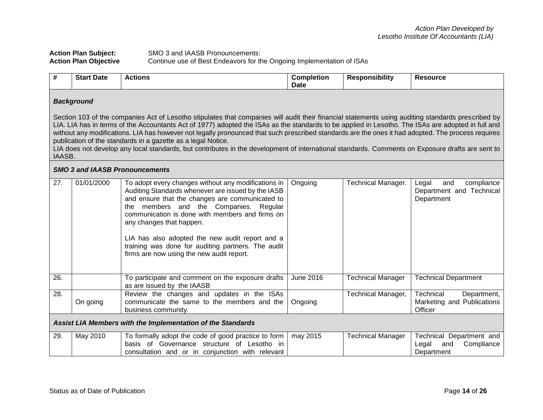## Action Plan Subject: SMO 3 and IAASB Pronouncements:<br>
Action Plan Objective Continue use of Best Endeavors for the Continue use of Best Endeavors for the Ongoing Implementation of ISAs

| #   | <b>Start Date</b>                                                                                                                                                                                                                                                                                                                                                                                                                                                                                                                                                                                                                                                                            | <b>Actions</b>                                                                                                                                                                                                                                                                                                                                                                                                                                 | <b>Completion</b><br>Date | <b>Responsibility</b>     | <b>Resource</b>                                                      |  |  |  |
|-----|----------------------------------------------------------------------------------------------------------------------------------------------------------------------------------------------------------------------------------------------------------------------------------------------------------------------------------------------------------------------------------------------------------------------------------------------------------------------------------------------------------------------------------------------------------------------------------------------------------------------------------------------------------------------------------------------|------------------------------------------------------------------------------------------------------------------------------------------------------------------------------------------------------------------------------------------------------------------------------------------------------------------------------------------------------------------------------------------------------------------------------------------------|---------------------------|---------------------------|----------------------------------------------------------------------|--|--|--|
|     | <b>Background</b>                                                                                                                                                                                                                                                                                                                                                                                                                                                                                                                                                                                                                                                                            |                                                                                                                                                                                                                                                                                                                                                                                                                                                |                           |                           |                                                                      |  |  |  |
|     | Section 103 of the companies Act of Lesotho stipulates that companies will audit their financial statements using auditing standards prescribed by<br>LIA. LIA has in terms of the Accountants Act of 1977) adopted the ISAs as the standards to be applied in Lesotho. The ISAs are adopted in full and<br>without any modifications. LIA has however not legally pronounced that such prescribed standards are the ones it had adopted. The process requires<br>publication of the standards in a gazette as a legal Notice.<br>LIA does not develop any local standards, but contributes in the development of international standards. Comments on Exposure drafts are sent to<br>IAASB. |                                                                                                                                                                                                                                                                                                                                                                                                                                                |                           |                           |                                                                      |  |  |  |
|     |                                                                                                                                                                                                                                                                                                                                                                                                                                                                                                                                                                                                                                                                                              | <b>SMO 3 and IAASB Pronouncements</b>                                                                                                                                                                                                                                                                                                                                                                                                          |                           |                           |                                                                      |  |  |  |
| 27. | 01/01/2000                                                                                                                                                                                                                                                                                                                                                                                                                                                                                                                                                                                                                                                                                   | To adopt every changes without any modifications in<br>Auditing Standards whenever are issued by the IASB<br>and ensure that the changes are communicated to<br>the members and the Companies.<br>Regular<br>communication is done with members and firms on<br>any changes that happen.<br>LIA has also adopted the new audit report and a<br>training was done for auditing partners. The audit<br>firms are now using the new audit report. | Ongoing                   | <b>Technical Manager.</b> | compliance<br>Legal<br>and<br>Department and Technical<br>Department |  |  |  |
| 26. |                                                                                                                                                                                                                                                                                                                                                                                                                                                                                                                                                                                                                                                                                              | To participate and comment on the exposure drafts<br>as are issued by the IAASB                                                                                                                                                                                                                                                                                                                                                                | <b>June 2016</b>          | <b>Technical Manager</b>  | <b>Technical Department</b>                                          |  |  |  |
| 28. | On going                                                                                                                                                                                                                                                                                                                                                                                                                                                                                                                                                                                                                                                                                     | Review the changes and updates in the ISAs<br>communicate the same to the members and the<br>business community.                                                                                                                                                                                                                                                                                                                               | Ongoing                   | <b>Technical Manager,</b> | Technical<br>Department,<br>Marketing and Publications<br>Officer    |  |  |  |
|     | Assist LIA Members with the Implementation of the Standards                                                                                                                                                                                                                                                                                                                                                                                                                                                                                                                                                                                                                                  |                                                                                                                                                                                                                                                                                                                                                                                                                                                |                           |                           |                                                                      |  |  |  |
| 29. | May 2010                                                                                                                                                                                                                                                                                                                                                                                                                                                                                                                                                                                                                                                                                     | To formally adopt the code of good practice to form<br>basis of Governance structure of Lesotho in<br>consultation and or in conjunction with relevant                                                                                                                                                                                                                                                                                         | may 2015                  | <b>Technical Manager</b>  | Technical Department and<br>Legal<br>Compliance<br>and<br>Department |  |  |  |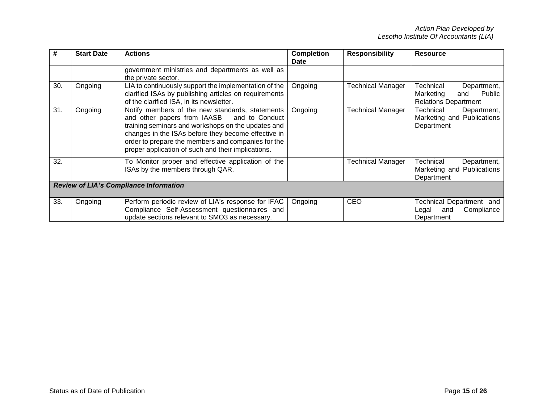| #   | <b>Start Date</b>                             | <b>Actions</b>                                                                                                                                                                                                                                                                                                            | <b>Completion</b><br>Date | <b>Responsibility</b>    | <b>Resource</b>                                                                       |  |  |
|-----|-----------------------------------------------|---------------------------------------------------------------------------------------------------------------------------------------------------------------------------------------------------------------------------------------------------------------------------------------------------------------------------|---------------------------|--------------------------|---------------------------------------------------------------------------------------|--|--|
|     |                                               | government ministries and departments as well as<br>the private sector.                                                                                                                                                                                                                                                   |                           |                          |                                                                                       |  |  |
| 30. | Ongoing                                       | LIA to continuously support the implementation of the<br>clarified ISAs by publishing articles on requirements<br>of the clarified ISA, in its newsletter.                                                                                                                                                                | Ongoing                   | <b>Technical Manager</b> | Technical<br>Department,<br>Public<br>Marketing<br>and<br><b>Relations Department</b> |  |  |
| 31. | Ongoing                                       | Notify members of the new standards, statements<br>and other papers from IAASB<br>and to Conduct<br>training seminars and workshops on the updates and<br>changes in the ISAs before they become effective in<br>order to prepare the members and companies for the<br>proper application of such and their implications. | Ongoing                   | <b>Technical Manager</b> | Technical<br>Department,<br>Marketing and Publications<br>Department                  |  |  |
| 32. |                                               | To Monitor proper and effective application of the<br>ISAs by the members through QAR.                                                                                                                                                                                                                                    |                           | Technical Manager        | Technical<br>Department,<br>Marketing and Publications<br>Department                  |  |  |
|     | <b>Review of LIA's Compliance Information</b> |                                                                                                                                                                                                                                                                                                                           |                           |                          |                                                                                       |  |  |
| 33. | Ongoing                                       | Perform periodic review of LIA's response for IFAC<br>Compliance Self-Assessment questionnaires and<br>update sections relevant to SMO3 as necessary.                                                                                                                                                                     | Ongoing                   | CEO                      | <b>Fechnical Department and</b><br>Compliance<br>and<br>Legal<br>Department           |  |  |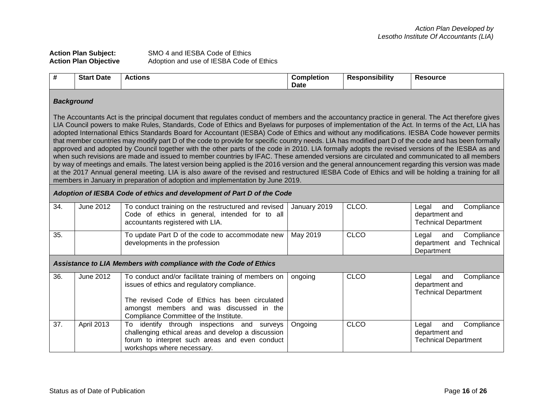| <b>Action Plan Subject:</b>  | SMO 4 and IESBA Code of Ethics           |
|------------------------------|------------------------------------------|
| <b>Action Plan Objective</b> | Adoption and use of IESBA Code of Ethics |

| # | <b>Date</b><br>Start | <b>Actions</b> | nmı<br>npletion<br><b>Date</b> | ponsibility | ∙ource |
|---|----------------------|----------------|--------------------------------|-------------|--------|
|   |                      |                |                                |             |        |

## *Background*

The Accountants Act is the principal document that regulates conduct of members and the accountancy practice in general. The Act therefore gives LIA Council powers to make Rules, Standards, Code of Ethics and Byelaws for purposes of implementation of the Act. In terms of the Act, LIA has adopted International Ethics Standards Board for Accountant (IESBA) Code of Ethics and without any modifications. IESBA Code however permits that member countries may modify part D of the code to provide for specific country needs. LIA has modified part D of the code and has been formally approved and adopted by Council together with the other parts of the code in 2010. LIA formally adopts the revised versions of the IESBA as and when such revisions are made and issued to member countries by IFAC. These amended versions are circulated and communicated to all members by way of meetings and emails. The latest version being applied is the 2016 version and the general announcement regarding this version was made at the 2017 Annual general meeting. LIA is also aware of the revised and restructured IESBA Code of Ethics and will be holding a training for all members in January in preparation of adoption and implementation by June 2019.

#### *Adoption of IESBA Code of ethics and development of Part D of the Code*

| 34. | June 2012 | To conduct training on the restructured and revised   January 2019<br>Code of ethics in general, intended for to all  <br>accountants registered with LIA. | CLCO. | Compliance<br>and<br>Legal<br>department and<br><b>Technical Department</b> |
|-----|-----------|------------------------------------------------------------------------------------------------------------------------------------------------------------|-------|-----------------------------------------------------------------------------|
| 35. |           | To update Part D of the code to accommodate new   May 2019<br>developments in the profession                                                               | CLCO  | and<br>Compliance<br>Legal<br>department and Technical<br>Department        |

## *Assistance to LIA Members with compliance with the Code of Ethics*

| 36. | June 2012         | To conduct and/or facilitate training of members on | ongoing | <b>CLCO</b> | Legal and Compliance        |
|-----|-------------------|-----------------------------------------------------|---------|-------------|-----------------------------|
|     |                   | issues of ethics and regulatory compliance.         |         |             | department and              |
|     |                   |                                                     |         |             | <b>Technical Department</b> |
|     |                   |                                                     |         |             |                             |
|     |                   | The revised Code of Ethics has been circulated      |         |             |                             |
|     |                   | amongst members and was discussed in the            |         |             |                             |
|     |                   | Compliance Committee of the Institute.              |         |             |                             |
| 37. | <b>April 2013</b> | To identify through inspections and surveys         | Ongoing | <b>CLCO</b> | Legal and Compliance        |
|     |                   | challenging ethical areas and develop a discussion  |         |             | department and              |
|     |                   | forum to interpret such areas and even conduct      |         |             | <b>Technical Department</b> |
|     |                   | workshops where necessary.                          |         |             |                             |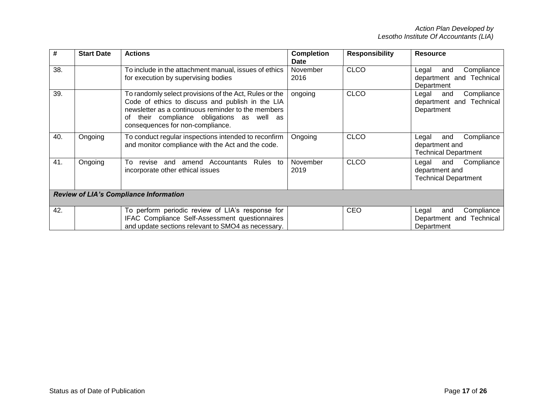| #   | <b>Start Date</b>                             | <b>Actions</b>                                                                                                                                                                                                                                        | <b>Completion</b><br>Date | <b>Responsibility</b> | Resource                                                                    |  |  |
|-----|-----------------------------------------------|-------------------------------------------------------------------------------------------------------------------------------------------------------------------------------------------------------------------------------------------------------|---------------------------|-----------------------|-----------------------------------------------------------------------------|--|--|
| 38. |                                               | To include in the attachment manual, issues of ethics<br>for execution by supervising bodies                                                                                                                                                          | November<br>2016          | <b>CLCO</b>           | Compliance<br>and<br>Legal<br>department and Technical<br>Department        |  |  |
| 39. |                                               | To randomly select provisions of the Act, Rules or the<br>Code of ethics to discuss and publish in the LIA<br>newsletter as a continuous reminder to the members<br>their compliance obligations as well as<br>οf<br>consequences for non-compliance. | ongoing                   | <b>CLCO</b>           | Compliance<br>Legal<br>and<br>department and Technical<br>Department        |  |  |
| 40. | Ongoing                                       | To conduct regular inspections intended to reconfirm<br>and monitor compliance with the Act and the code.                                                                                                                                             | Ongoing                   | <b>CLCO</b>           | Compliance<br>and<br>Legal<br>department and<br><b>Technical Department</b> |  |  |
| 41. | Ongoing                                       | Τo<br>Accountants<br>Rules to<br>amend<br>revise<br>and<br>incorporate other ethical issues                                                                                                                                                           | November<br>2019          | <b>CLCO</b>           | Compliance<br>and<br>Legal<br>department and<br><b>Technical Department</b> |  |  |
|     | <b>Review of LIA's Compliance Information</b> |                                                                                                                                                                                                                                                       |                           |                       |                                                                             |  |  |
| 42. |                                               | To perform periodic review of LIA's response for<br>IFAC Compliance Self-Assessment questionnaires<br>and update sections relevant to SMO4 as necessary.                                                                                              |                           | <b>CEO</b>            | and<br>Compliance<br>Legal<br>Department and Technical<br>Department        |  |  |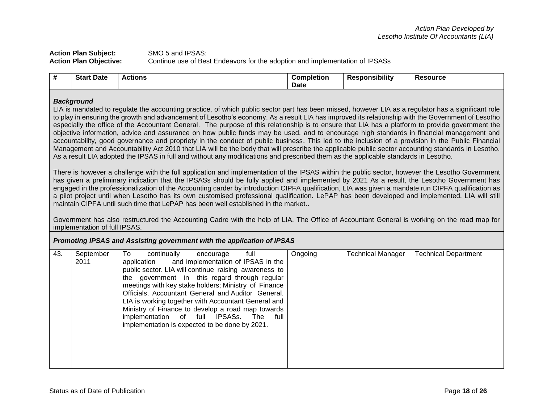## **Action Plan Subject:** SMO 5 and IPSAS: **Action Plan Objective:** Continue use of Best Endeavors for the adoption and implementation of IPSASs

| # | <b>Start Date</b> | <b>Actions</b> | . .<br><b>Completion</b> | .<br>Responsibility | <b>Resource</b> |
|---|-------------------|----------------|--------------------------|---------------------|-----------------|
|   |                   |                | Date                     |                     |                 |

## *Background*

LIA is mandated to regulate the accounting practice, of which public sector part has been missed, however LIA as a regulator has a significant role to play in ensuring the growth and advancement of Lesotho's economy. As a result LIA has improved its relationship with the Government of Lesotho especially the office of the Accountant General. The purpose of this relationship is to ensure that LIA has a platform to provide government the objective information, advice and assurance on how public funds may be used, and to encourage high standards in financial management and accountability, good governance and propriety in the conduct of public business. This led to the inclusion of a provision in the Public Financial Management and Accountability Act 2010 that LIA will be the body that will prescribe the applicable public sector accounting standards in Lesotho. As a result LIA adopted the IPSAS in full and without any modifications and prescribed them as the applicable standards in Lesotho.

There is however a challenge with the full application and implementation of the IPSAS within the public sector, however the Lesotho Government has given a preliminary indication that the IPSASs should be fully applied and implemented by 2021 As a result, the Lesotho Government has engaged in the professionalization of the Accounting carder by introduction CIPFA qualification, LIA was given a mandate run CIPFA qualification as a pilot project until when Lesotho has its own customised professional qualification. LePAP has been developed and implemented. LIA will still maintain CIPFA until such time that LePAP has been well established in the market..

Government has also restructured the Accounting Cadre with the help of LIA. The Office of Accountant General is working on the road map for implementation of full IPSAS.

## *Promoting IPSAS and Assisting government with the application of IPSAS*

| 43. | September<br>2011 | To<br>full<br>continually<br>encourage<br>application and implementation of IPSAS in the<br>public sector. LIA will continue raising awareness to<br>the government in this regard through regular<br>meetings with key stake holders; Ministry of Finance<br>Officials, Accountant General and Auditor General.<br>LIA is working together with Accountant General and<br>Ministry of Finance to develop a road map towards<br>implementation of full IPSASs. The<br>full<br>implementation is expected to be done by 2021. | Ongoing | <b>Technical Manager</b> | <b>Technical Department</b> |
|-----|-------------------|------------------------------------------------------------------------------------------------------------------------------------------------------------------------------------------------------------------------------------------------------------------------------------------------------------------------------------------------------------------------------------------------------------------------------------------------------------------------------------------------------------------------------|---------|--------------------------|-----------------------------|
|-----|-------------------|------------------------------------------------------------------------------------------------------------------------------------------------------------------------------------------------------------------------------------------------------------------------------------------------------------------------------------------------------------------------------------------------------------------------------------------------------------------------------------------------------------------------------|---------|--------------------------|-----------------------------|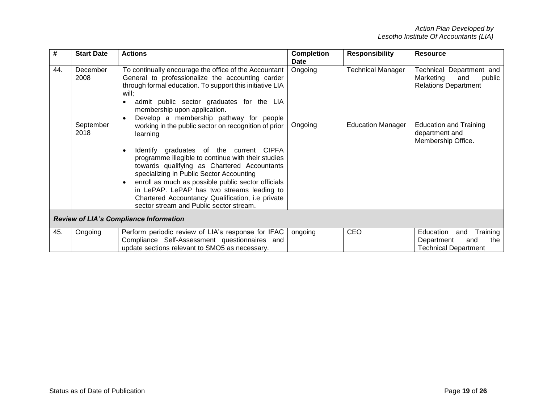| #                                             | <b>Start Date</b>             | <b>Actions</b>                                                                                                                                                                                                                                                                                                                                                                                                            | <b>Completion</b><br><b>Date</b> | <b>Responsibility</b>                                | <b>Resource</b>                                                                                                        |
|-----------------------------------------------|-------------------------------|---------------------------------------------------------------------------------------------------------------------------------------------------------------------------------------------------------------------------------------------------------------------------------------------------------------------------------------------------------------------------------------------------------------------------|----------------------------------|------------------------------------------------------|------------------------------------------------------------------------------------------------------------------------|
| 44.                                           | December<br>2008<br>September | To continually encourage the office of the Accountant<br>General to professionalize the accounting carder<br>through formal education. To support this initiative LIA<br>will;<br>admit public sector graduates for the LIA<br>membership upon application.<br>Develop a membership pathway for people<br>working in the public sector on recognition of prior                                                            | Ongoing<br>Ongoing               | <b>Technical Manager</b><br><b>Education Manager</b> | Technical Department and<br>Marketing<br>public<br>and<br><b>Relations Department</b><br><b>Education and Training</b> |
|                                               | 2018                          | learning<br>Identify graduates of the current CIPFA<br>$\bullet$<br>programme illegible to continue with their studies<br>towards qualifying as Chartered Accountants<br>specializing in Public Sector Accounting<br>enroll as much as possible public sector officials<br>٠<br>in LePAP. LePAP has two streams leading to<br>Chartered Accountancy Qualification, i.e private<br>sector stream and Public sector stream. |                                  |                                                      | department and<br>Membership Office.                                                                                   |
| <b>Review of LIA's Compliance Information</b> |                               |                                                                                                                                                                                                                                                                                                                                                                                                                           |                                  |                                                      |                                                                                                                        |
| 45.                                           | Ongoing                       | Perform periodic review of LIA's response for IFAC<br>Compliance Self-Assessment questionnaires and<br>update sections relevant to SMO5 as necessary.                                                                                                                                                                                                                                                                     | ongoing                          | CEO                                                  | Education<br>Training<br>and<br>the<br>and<br>Department<br><b>Technical Department</b>                                |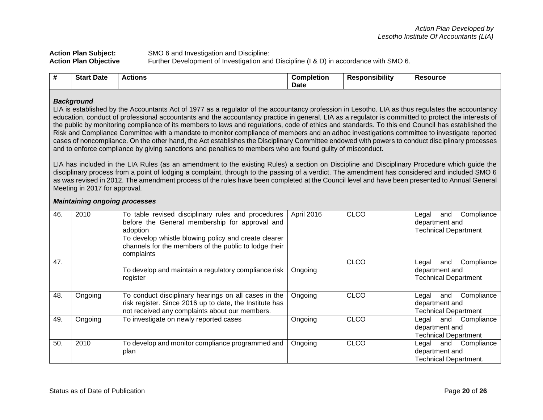| <b>Action Plan Subject:</b>  | SMO 6 and Investigation and Discipline:                                               |
|------------------------------|---------------------------------------------------------------------------------------|
| <b>Action Plan Objective</b> | Further Development of Investigation and Discipline (I & D) in accordance with SMO 6. |

| enaneihili÷ı<br><b>Star</b><br>Date<br><b>:source</b><br>∴∩m<br>$    -$<br>Re:<br>pletior<br>tions<br>1510nn<br>$\boldsymbol{\pi}$<br>Date |
|--------------------------------------------------------------------------------------------------------------------------------------------|
|--------------------------------------------------------------------------------------------------------------------------------------------|

## *Background*

LIA is established by the Accountants Act of 1977 as a regulator of the accountancy profession in Lesotho. LIA as thus regulates the accountancy education, conduct of professional accountants and the accountancy practice in general. LIA as a regulator is committed to protect the interests of the public by monitoring compliance of its members to laws and regulations, code of ethics and standards. To this end Council has established the Risk and Compliance Committee with a mandate to monitor compliance of members and an adhoc investigations committee to investigate reported cases of noncompliance. On the other hand, the Act establishes the Disciplinary Committee endowed with powers to conduct disciplinary processes and to enforce compliance by giving sanctions and penalties to members who are found guilty of misconduct.

LIA has included in the LIA Rules (as an amendment to the existing Rules) a section on Discipline and Disciplinary Procedure which guide the disciplinary process from a point of lodging a complaint, through to the passing of a verdict. The amendment has considered and included SMO 6 as was revised in 2012. The amendment process of the rules have been completed at the Council level and have been presented to Annual General Meeting in 2017 for approval.

|     | <b>Maintaining ongoing processes</b> |                                                                                                                                                                                                                                                 |            |             |                                                                             |  |  |  |
|-----|--------------------------------------|-------------------------------------------------------------------------------------------------------------------------------------------------------------------------------------------------------------------------------------------------|------------|-------------|-----------------------------------------------------------------------------|--|--|--|
| 46. | 2010                                 | To table revised disciplinary rules and procedures<br>before the General membership for approval and<br>adoption<br>To develop whistle blowing policy and create clearer<br>channels for the members of the public to lodge their<br>complaints | April 2016 | <b>CLCO</b> | Compliance<br>and<br>Legal<br>department and<br><b>Technical Department</b> |  |  |  |
| 47. |                                      | To develop and maintain a regulatory compliance risk<br>register                                                                                                                                                                                | Ongoing    | <b>CLCO</b> | Compliance<br>Legal<br>and<br>department and<br><b>Technical Department</b> |  |  |  |
| 48. | Ongoing                              | To conduct disciplinary hearings on all cases in the<br>risk register. Since 2016 up to date, the Institute has<br>not received any complaints about our members.                                                                               | Ongoing    | <b>CLCO</b> | Compliance<br>and<br>Legal<br>department and<br>Technical Department        |  |  |  |
| 49. | Ongoing                              | To investigate on newly reported cases                                                                                                                                                                                                          | Ongoing    | <b>CLCO</b> | Legal and Compliance<br>department and<br><b>Technical Department</b>       |  |  |  |
| 50. | 2010                                 | To develop and monitor compliance programmed and<br>plan                                                                                                                                                                                        | Ongoing    | <b>CLCO</b> | and Compliance<br>Legal<br>department and<br><b>Technical Department.</b>   |  |  |  |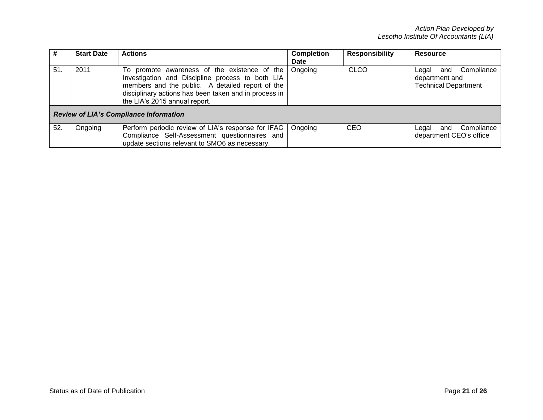|     | <b>Start Date</b>                             | <b>Actions</b>                                                                                                                                                                                                                                 | <b>Completion</b><br><b>Date</b> | <b>Responsibility</b> | <b>Resource</b>                                                             |  |  |
|-----|-----------------------------------------------|------------------------------------------------------------------------------------------------------------------------------------------------------------------------------------------------------------------------------------------------|----------------------------------|-----------------------|-----------------------------------------------------------------------------|--|--|
| 51. | 2011                                          | To promote awareness of the existence of the<br>Investigation and Discipline process to both LIA<br>members and the public. A detailed report of the<br>disciplinary actions has been taken and in process in<br>the LIA's 2015 annual report. | Ongoing                          | CLCO                  | Compliance<br>Legal<br>and<br>department and<br><b>Technical Department</b> |  |  |
|     | <b>Review of LIA's Compliance Information</b> |                                                                                                                                                                                                                                                |                                  |                       |                                                                             |  |  |
| 52. | Ongoing                                       | Perform periodic review of LIA's response for IFAC<br>Compliance Self-Assessment questionnaires and<br>update sections relevant to SMO6 as necessary.                                                                                          | Ongoing                          | <b>CEO</b>            | Compliance<br>Legal<br>and<br>department CEO's office                       |  |  |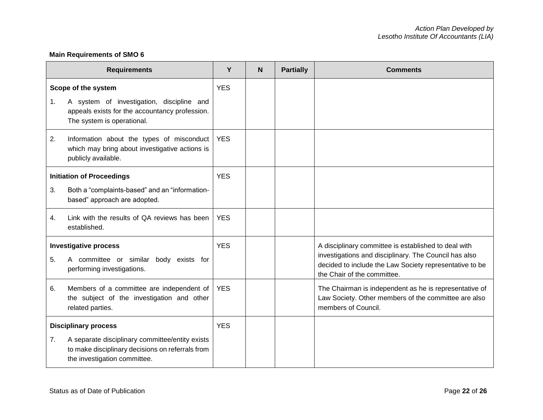# **Main Requirements of SMO 6**

|                                                                                                            | <b>Requirements</b>                                                                                                                 | Y          | N | <b>Partially</b> | <b>Comments</b>                                                                                                                                                                                         |
|------------------------------------------------------------------------------------------------------------|-------------------------------------------------------------------------------------------------------------------------------------|------------|---|------------------|---------------------------------------------------------------------------------------------------------------------------------------------------------------------------------------------------------|
|                                                                                                            | Scope of the system                                                                                                                 | <b>YES</b> |   |                  |                                                                                                                                                                                                         |
| 1.                                                                                                         | A system of investigation, discipline and<br>appeals exists for the accountancy profession.<br>The system is operational.           |            |   |                  |                                                                                                                                                                                                         |
| 2.                                                                                                         | Information about the types of misconduct<br>which may bring about investigative actions is<br>publicly available.                  | <b>YES</b> |   |                  |                                                                                                                                                                                                         |
|                                                                                                            | <b>Initiation of Proceedings</b>                                                                                                    | <b>YES</b> |   |                  |                                                                                                                                                                                                         |
| 3.                                                                                                         | Both a "complaints-based" and an "information-<br>based" approach are adopted.                                                      |            |   |                  |                                                                                                                                                                                                         |
| 4.                                                                                                         | Link with the results of QA reviews has been<br>established.                                                                        | <b>YES</b> |   |                  |                                                                                                                                                                                                         |
| <b>Investigative process</b><br>A committee or similar body exists for<br>5.<br>performing investigations. |                                                                                                                                     | <b>YES</b> |   |                  | A disciplinary committee is established to deal with<br>investigations and disciplinary. The Council has also<br>decided to include the Law Society representative to be<br>the Chair of the committee. |
| 6.                                                                                                         | Members of a committee are independent of<br>the subject of the investigation and other<br>related parties.                         | <b>YES</b> |   |                  | The Chairman is independent as he is representative of<br>Law Society. Other members of the committee are also<br>members of Council.                                                                   |
| <b>Disciplinary process</b>                                                                                |                                                                                                                                     | <b>YES</b> |   |                  |                                                                                                                                                                                                         |
| 7.                                                                                                         | A separate disciplinary committee/entity exists<br>to make disciplinary decisions on referrals from<br>the investigation committee. |            |   |                  |                                                                                                                                                                                                         |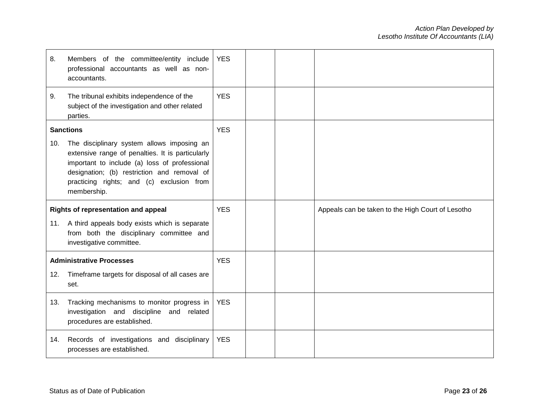| 8.               | Members of the committee/entity include<br>professional accountants as well as non-<br>accountants.                                                                                                                                                        | <b>YES</b> |  |                                                   |
|------------------|------------------------------------------------------------------------------------------------------------------------------------------------------------------------------------------------------------------------------------------------------------|------------|--|---------------------------------------------------|
| 9.               | The tribunal exhibits independence of the<br>subject of the investigation and other related<br>parties.                                                                                                                                                    | <b>YES</b> |  |                                                   |
| <b>Sanctions</b> |                                                                                                                                                                                                                                                            | <b>YES</b> |  |                                                   |
| 10.              | The disciplinary system allows imposing an<br>extensive range of penalties. It is particularly<br>important to include (a) loss of professional<br>designation; (b) restriction and removal of<br>practicing rights; and (c) exclusion from<br>membership. |            |  |                                                   |
|                  | Rights of representation and appeal                                                                                                                                                                                                                        | <b>YES</b> |  | Appeals can be taken to the High Court of Lesotho |
| 11.              | A third appeals body exists which is separate<br>from both the disciplinary committee and<br>investigative committee.                                                                                                                                      |            |  |                                                   |
|                  | <b>Administrative Processes</b>                                                                                                                                                                                                                            | <b>YES</b> |  |                                                   |
| 12.              | Timeframe targets for disposal of all cases are<br>set.                                                                                                                                                                                                    |            |  |                                                   |
| 13.              |                                                                                                                                                                                                                                                            | <b>YES</b> |  |                                                   |
|                  | Tracking mechanisms to monitor progress in<br>investigation and discipline and related<br>procedures are established.                                                                                                                                      |            |  |                                                   |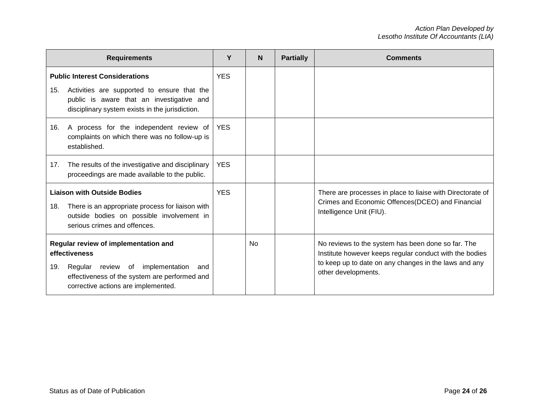| <b>Requirements</b>                                                                                                                                                                             | Υ          | <b>N</b>  | <b>Partially</b> | <b>Comments</b>                                                                                                                                                                               |
|-------------------------------------------------------------------------------------------------------------------------------------------------------------------------------------------------|------------|-----------|------------------|-----------------------------------------------------------------------------------------------------------------------------------------------------------------------------------------------|
| <b>Public Interest Considerations</b><br>Activities are supported to ensure that the<br>15.                                                                                                     | <b>YES</b> |           |                  |                                                                                                                                                                                               |
| public is aware that an investigative and<br>disciplinary system exists in the jurisdiction.                                                                                                    |            |           |                  |                                                                                                                                                                                               |
| A process for the independent review of<br>16.<br>complaints on which there was no follow-up is<br>established.                                                                                 | <b>YES</b> |           |                  |                                                                                                                                                                                               |
| The results of the investigative and disciplinary<br>17.<br>proceedings are made available to the public.                                                                                       | <b>YES</b> |           |                  |                                                                                                                                                                                               |
| <b>Liaison with Outside Bodies</b><br>There is an appropriate process for liaison with<br>18.<br>outside bodies on possible involvement in<br>serious crimes and offences.                      | <b>YES</b> |           |                  | There are processes in place to liaise with Directorate of<br>Crimes and Economic Offences (DCEO) and Financial<br>Intelligence Unit (FIU).                                                   |
| Regular review of implementation and<br>effectiveness<br>Regular review of implementation<br>19.<br>and<br>effectiveness of the system are performed and<br>corrective actions are implemented. |            | <b>No</b> |                  | No reviews to the system has been done so far. The<br>Institute however keeps regular conduct with the bodies<br>to keep up to date on any changes in the laws and any<br>other developments. |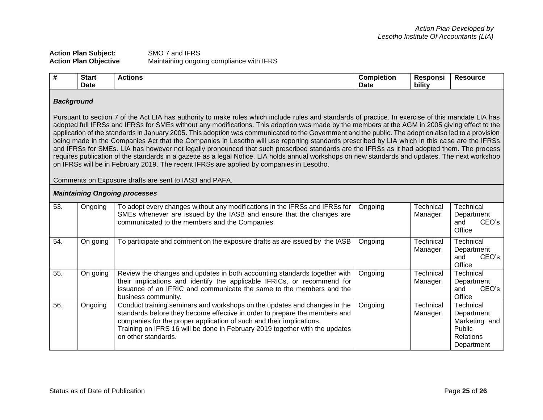## **Action Plan Subject:** SMO 7 and IFRS **Action Plan Objective** Maintaining ongoing compliance with IFRS

| .<br>π | <b>Start</b> | Actions<br>" | Completion  | Responsi    | <b>Resource</b> |
|--------|--------------|--------------|-------------|-------------|-----------------|
|        | <b>Date</b>  |              | <b>Date</b> | .<br>bility |                 |

## *Background*

Pursuant to section 7 of the Act LIA has authority to make rules which include rules and standards of practice. In exercise of this mandate LIA has adopted full IFRSs and IFRSs for SMEs without any modifications. This adoption was made by the members at the AGM in 2005 giving effect to the application of the standards in January 2005. This adoption was communicated to the Government and the public. The adoption also led to a provision being made in the Companies Act that the Companies in Lesotho will use reporting standards prescribed by LIA which in this case are the IFRSs and IFRSs for SMEs. LIA has however not legally pronounced that such prescribed standards are the IFRSs as it had adopted them. The process requires publication of the standards in a gazette as a legal Notice. LIA holds annual workshops on new standards and updates. The next workshop on IFRSs will be in February 2019. The recent IFRSs are applied by companies in Lesotho.

Comments on Exposure drafts are sent to IASB and PAFA.

## *Maintaining Ongoing processes*

| 53. | Ongoing  | To adopt every changes without any modifications in the IFRSs and IFRSs for<br>SMEs whenever are issued by the IASB and ensure that the changes are<br>communicated to the members and the Companies.                                                                                                                                 | Ongoing | Technical<br>Manager. | Technical<br>Department<br>CEO's<br>and<br>Office                                     |
|-----|----------|---------------------------------------------------------------------------------------------------------------------------------------------------------------------------------------------------------------------------------------------------------------------------------------------------------------------------------------|---------|-----------------------|---------------------------------------------------------------------------------------|
| 54. | On going | To participate and comment on the exposure drafts as are issued by the IASB                                                                                                                                                                                                                                                           | Ongoing | Technical<br>Manager, | <b>Technical</b><br>Department<br>CEO's<br>and<br>Office                              |
| 55. | On going | Review the changes and updates in both accounting standards together with<br>their implications and identify the applicable IFRICs, or recommend for<br>issuance of an IFRIC and communicate the same to the members and the<br>business community.                                                                                   | Ongoing | Technical<br>Manager, | Technical<br>Department<br>CEO's<br>and<br>Office                                     |
| 56. | Ongoing  | Conduct training seminars and workshops on the updates and changes in the<br>standards before they become effective in order to prepare the members and<br>companies for the proper application of such and their implications.<br>Training on IFRS 16 will be done in February 2019 together with the updates<br>on other standards. | Ongoing | Technical<br>Manager, | Technical<br>Department,<br>Marketing and<br>Public<br><b>Relations</b><br>Department |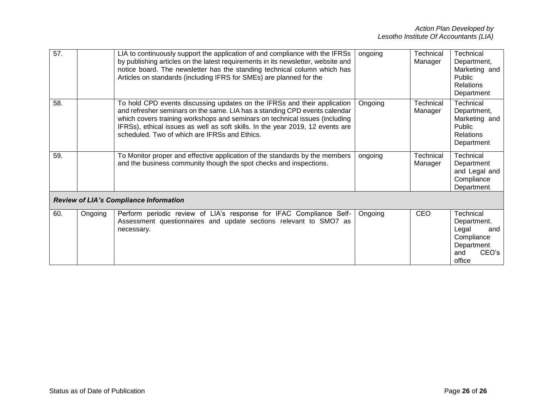| 57.                                           |         | LIA to continuously support the application of and compliance with the IFRSs<br>by publishing articles on the latest requirements in its newsletter, website and<br>notice board. The newsletter has the standing technical column which has<br>Articles on standards (including IFRS for SMEs) are planned for the                                                      | ongoing | Technical<br>Manager | Technical<br>Department,<br>Marketing and<br>Public<br><b>Relations</b><br>Department          |
|-----------------------------------------------|---------|--------------------------------------------------------------------------------------------------------------------------------------------------------------------------------------------------------------------------------------------------------------------------------------------------------------------------------------------------------------------------|---------|----------------------|------------------------------------------------------------------------------------------------|
| 58.                                           |         | To hold CPD events discussing updates on the IFRSs and their application<br>and refresher seminars on the same. LIA has a standing CPD events calendar<br>which covers training workshops and seminars on technical issues (including<br>IFRSs), ethical issues as well as soft skills. In the year 2019, 12 events are<br>scheduled. Two of which are IFRSs and Ethics. | Ongoing | Technical<br>Manager | Technical<br>Department,<br>Marketing and<br>Public<br><b>Relations</b><br>Department          |
| 59.                                           |         | To Monitor proper and effective application of the standards by the members<br>and the business community though the spot checks and inspections.                                                                                                                                                                                                                        | ongoing | Technical<br>Manager | Technical<br>Department<br>and Legal and<br>Compliance<br>Department                           |
| <b>Review of LIA's Compliance Information</b> |         |                                                                                                                                                                                                                                                                                                                                                                          |         |                      |                                                                                                |
| 60.                                           | Ongoing | Perform periodic review of LIA's response for IFAC Compliance Self-<br>Assessment questionnaires and update sections relevant to SMO7 as<br>necessary.                                                                                                                                                                                                                   | Ongoing | <b>CEO</b>           | Technical<br>Department.<br>Legal<br>and<br>Compliance<br>Department<br>CEO's<br>and<br>office |